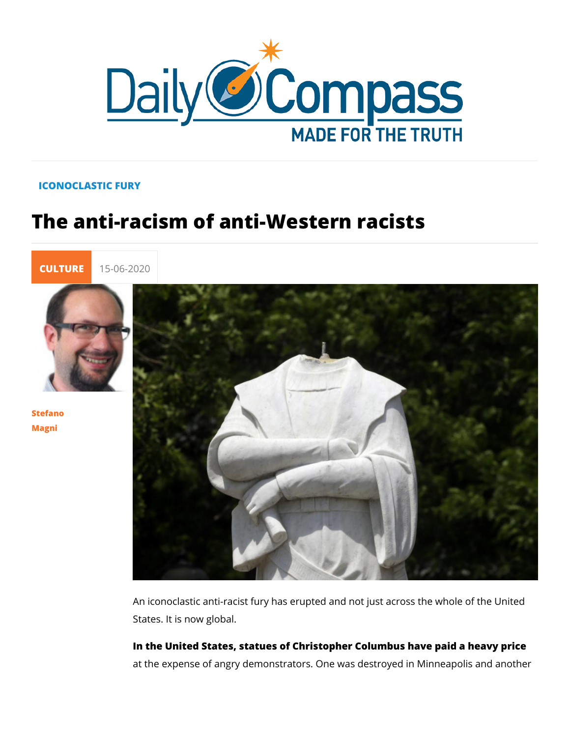## ICONOCLASTIC FURY

## The anti-racism of anti-Western racist

[CULTU](https://newdailycompass.com/en/culture)F 15-06-2020

[Stefan](/en/stefano-magni)o [Magn](/en/stefano-magni)i

> An iconoclastic anti-racist fury has erupted and not just acros States. It is now global.

In the United Status as of Christopher Columbus have paid a heavy price at the expense of angry demonstrators. One was destroyed in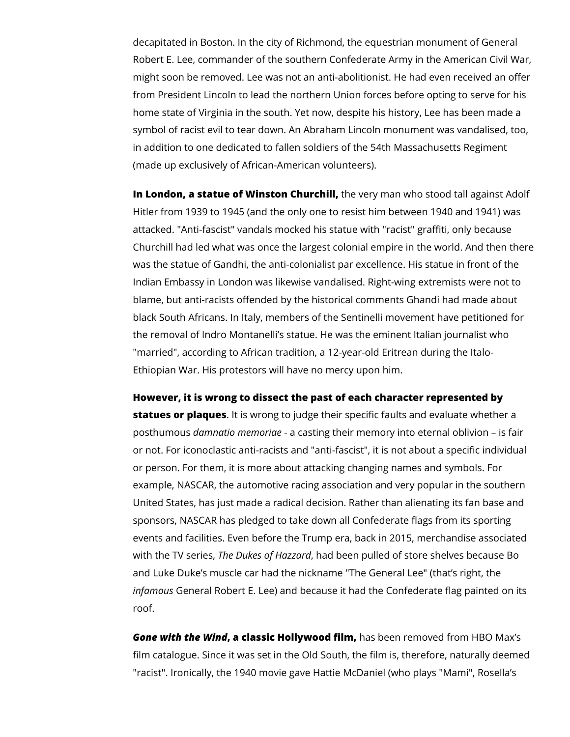decapitated in Boston. In the city of Richmond, the equestrian monument of General Robert E. Lee, commander of the southern Confederate Army in the American Civil War, might soon be removed. Lee was not an anti-abolitionist. He had even received an offer from President Lincoln to lead the northern Union forces before opting to serve for his home state of Virginia in the south. Yet now, despite his history, Lee has been made a symbol of racist evil to tear down. An Abraham Lincoln monument was vandalised, too, in addition to one dedicated to fallen soldiers of the 54th Massachusetts Regiment (made up exclusively of African-American volunteers).

**In London, a statue of Winston Churchill,** the very man who stood tall against Adolf Hitler from 1939 to 1945 (and the only one to resist him between 1940 and 1941) was attacked. "Anti-fascist" vandals mocked his statue with "racist" graffiti, only because Churchill had led what was once the largest colonial empire in the world. And then there was the statue of Gandhi, the anti-colonialist par excellence. His statue in front of the Indian Embassy in London was likewise vandalised. Right-wing extremists were not to blame, but anti-racists offended by the historical comments Ghandi had made about black South Africans. In Italy, members of the Sentinelli movement have petitioned for the removal of Indro Montanelli's statue. He was the eminent Italian journalist who "married", according to African tradition, a 12-year-old Eritrean during the Italo-Ethiopian War. His protestors will have no mercy upon him.

**However, it is wrong to dissect the past of each character represented by** 

**statues or plaques**. It is wrong to judge their specific faults and evaluate whether a posthumous *damnatio memoriae* - a casting their memory into eternal oblivion – is fair or not. For iconoclastic anti-racists and "anti-fascist", it is not about a specific individual or person. For them, it is more about attacking changing names and symbols. For example, NASCAR, the automotive racing association and very popular in the southern United States, has just made a radical decision. Rather than alienating its fan base and sponsors, NASCAR has pledged to take down all Confederate flags from its sporting events and facilities. Even before the Trump era, back in 2015, merchandise associated with the TV series, *The Dukes of Hazzard*, had been pulled of store shelves because Bo and Luke Duke's muscle car had the nickname "The General Lee" (that's right, the *infamous* General Robert E. Lee) and because it had the Confederate flag painted on its roof.

*Gone with the Wind***, a classic Hollywood film,** has been removed from HBO Max's film catalogue. Since it was set in the Old South, the film is, therefore, naturally deemed "racist". Ironically, the 1940 movie gave Hattie McDaniel (who plays "Mami", Rosella's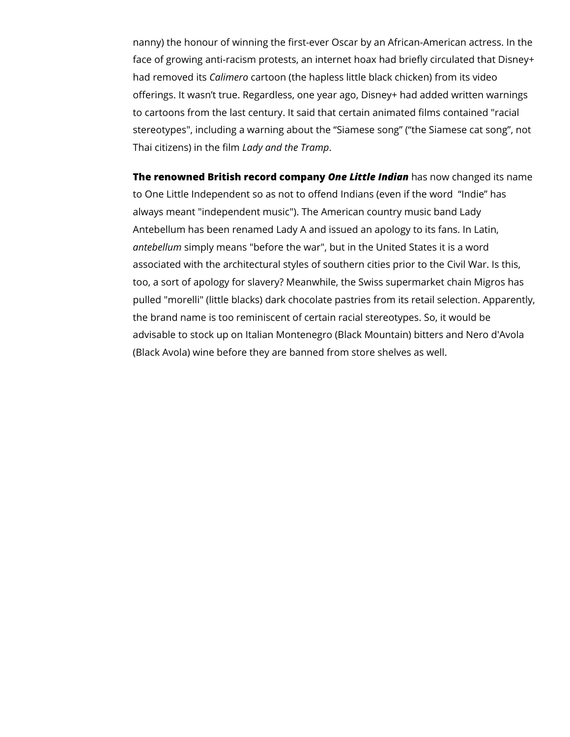nanny) the honour of winning the first-ever Oscar by an African-American actress. In the face of growing anti-racism protests, an internet hoax had briefly circulated that Disney+ had removed its *Calimero* cartoon (the hapless little black chicken) from its video offerings. It wasn't true. Regardless, one year ago, Disney+ had added written warnings to cartoons from the last century. It said that certain animated films contained "racial stereotypes", including a warning about the "Siamese song" ("the Siamese cat song", not Thai citizens) in the film *Lady and the Tramp*.

**The renowned British record company** *One Little Indian* has now changed its name to One Little Independent so as not to offend Indians (even if the word "Indie" has always meant "independent music"). The American country music band Lady Antebellum has been renamed Lady A and issued an apology to its fans. In Latin, *antebellum* simply means "before the war", but in the United States it is a word associated with the architectural styles of southern cities prior to the Civil War. Is this, too, a sort of apology for slavery? Meanwhile, the Swiss supermarket chain Migros has pulled "morelli" (little blacks) dark chocolate pastries from its retail selection. Apparently, the brand name is too reminiscent of certain racial stereotypes. So, it would be advisable to stock up on Italian Montenegro (Black Mountain) bitters and Nero d'Avola (Black Avola) wine before they are banned from store shelves as well.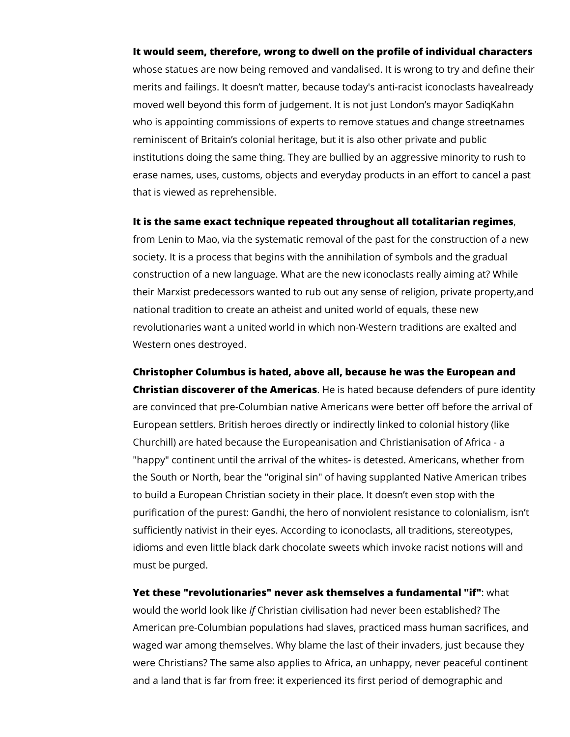## **It would seem, therefore, wrong to dwell on the profile of individual characters**

whose statues are now being removed and vandalised. It is wrong to try and define their merits and failings. It doesn't matter, because today's anti-racist iconoclasts havealready moved well beyond this form of judgement. It is not just London's mayor SadiqKahn who is appointing commissions of experts to remove statues and change streetnames reminiscent of Britain's colonial heritage, but it is also other private and public institutions doing the same thing. They are bullied by an aggressive minority to rush to erase names, uses, customs, objects and everyday products in an effort to cancel a past that is viewed as reprehensible.

## **It is the same exact technique repeated throughout all totalitarian regimes**,

from Lenin to Mao, via the systematic removal of the past for the construction of a new society. It is a process that begins with the annihilation of symbols and the gradual construction of a new language. What are the new iconoclasts really aiming at? While their Marxist predecessors wanted to rub out any sense of religion, private property,and national tradition to create an atheist and united world of equals, these new revolutionaries want a united world in which non-Western traditions are exalted and Western ones destroyed.

**Christopher Columbus is hated, above all, because he was the European and Christian discoverer of the Americas**. He is hated because defenders of pure identity are convinced that pre-Columbian native Americans were better off before the arrival of European settlers. British heroes directly or indirectly linked to colonial history (like Churchill) are hated because the Europeanisation and Christianisation of Africa - a "happy" continent until the arrival of the whites- is detested. Americans, whether from the South or North, bear the "original sin" of having supplanted Native American tribes to build a European Christian society in their place. It doesn't even stop with the purification of the purest: Gandhi, the hero of nonviolent resistance to colonialism, isn't sufficiently nativist in their eyes. According to iconoclasts, all traditions, stereotypes, idioms and even little black dark chocolate sweets which invoke racist notions will and must be purged.

**Yet these "revolutionaries" never ask themselves a fundamental "if"**: what would the world look like *if* Christian civilisation had never been established? The American pre-Columbian populations had slaves, practiced mass human sacrifices, and waged war among themselves. Why blame the last of their invaders, just because they were Christians? The same also applies to Africa, an unhappy, never peaceful continent and a land that is far from free: it experienced its first period of demographic and